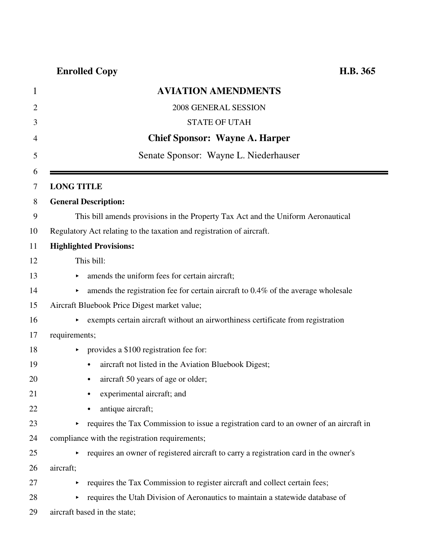| 1              | <b>AVIATION AMENDMENTS</b>                                                                          |
|----------------|-----------------------------------------------------------------------------------------------------|
| $\overline{2}$ | 2008 GENERAL SESSION                                                                                |
| 3              | <b>STATE OF UTAH</b>                                                                                |
| $\overline{4}$ | <b>Chief Sponsor: Wayne A. Harper</b>                                                               |
| 5              | Senate Sponsor: Wayne L. Niederhauser                                                               |
| 6              |                                                                                                     |
| 7              | <b>LONG TITLE</b>                                                                                   |
| 8              | <b>General Description:</b>                                                                         |
| 9              | This bill amends provisions in the Property Tax Act and the Uniform Aeronautical                    |
| 10             | Regulatory Act relating to the taxation and registration of aircraft.                               |
| 11             | <b>Highlighted Provisions:</b>                                                                      |
| 12             | This bill:                                                                                          |
| 13             | amends the uniform fees for certain aircraft;<br>▶                                                  |
| 14             | amends the registration fee for certain aircraft to 0.4% of the average wholesale<br>▶              |
| 15             | Aircraft Bluebook Price Digest market value;                                                        |
| 16             | exempts certain aircraft without an airworthiness certificate from registration                     |
| 17             | requirements;                                                                                       |
| 18             | provides a \$100 registration fee for:<br>▶                                                         |
| 19             | aircraft not listed in the Aviation Bluebook Digest;<br>$\bullet$                                   |
| 20             | aircraft 50 years of age or older;                                                                  |
| 21             | experimental aircraft; and                                                                          |
| 22             | antique aircraft;                                                                                   |
| 23             | requires the Tax Commission to issue a registration card to an owner of an aircraft in<br>Þ.        |
| 24             | compliance with the registration requirements;                                                      |
| 25             | requires an owner of registered aircraft to carry a registration card in the owner's<br>Þ.          |
| 26             | aircraft;                                                                                           |
| 27             | requires the Tax Commission to register aircraft and collect certain fees;<br>$\blacktriangleright$ |
| 28             | requires the Utah Division of Aeronautics to maintain a statewide database of<br>Þ.                 |
| 29             | aircraft based in the state;                                                                        |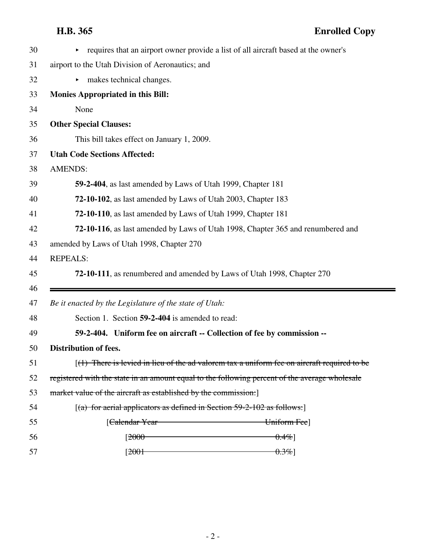$\blacksquare$ 

| 30       | requires that an airport owner provide a list of all aircraft based at the owner's             |
|----------|------------------------------------------------------------------------------------------------|
| 31       | airport to the Utah Division of Aeronautics; and                                               |
| 32       | makes technical changes.<br>►                                                                  |
| 33       | <b>Monies Appropriated in this Bill:</b>                                                       |
| 34       | None                                                                                           |
| 35       | <b>Other Special Clauses:</b>                                                                  |
| 36       | This bill takes effect on January 1, 2009.                                                     |
| 37       | <b>Utah Code Sections Affected:</b>                                                            |
| 38       | <b>AMENDS:</b>                                                                                 |
| 39       | 59-2-404, as last amended by Laws of Utah 1999, Chapter 181                                    |
| 40       | 72-10-102, as last amended by Laws of Utah 2003, Chapter 183                                   |
| 41       | 72-10-110, as last amended by Laws of Utah 1999, Chapter 181                                   |
| 42       | 72-10-116, as last amended by Laws of Utah 1998, Chapter 365 and renumbered and                |
| 43       | amended by Laws of Utah 1998, Chapter 270                                                      |
|          | <b>REPEALS:</b>                                                                                |
| 44       |                                                                                                |
| 45       | 72-10-111, as renumbered and amended by Laws of Utah 1998, Chapter 270                         |
| 46<br>47 | Be it enacted by the Legislature of the state of Utah:                                         |
| 48       | Section 1. Section 59-2-404 is amended to read:                                                |
| 49       | 59-2-404. Uniform fee on aircraft -- Collection of fee by commission --                        |
| 50       | <b>Distribution of fees.</b>                                                                   |
| 51       | $(1)$ There is levied in lieu of the ad valorem tax a uniform fee on aircraft required to be   |
| 52       | registered with the state in an amount equal to the following percent of the average wholesale |
| 53       | market value of the aircraft as established by the commission.]                                |
| 54       | $[(a)$ for aerial applicators as defined in Section 59-2-102 as follows:                       |
| 55       | [ <del>Calendar Year</del><br>Uniform Fee]                                                     |
| 56       | [ <del>2000 -</del><br>$0.4\%$                                                                 |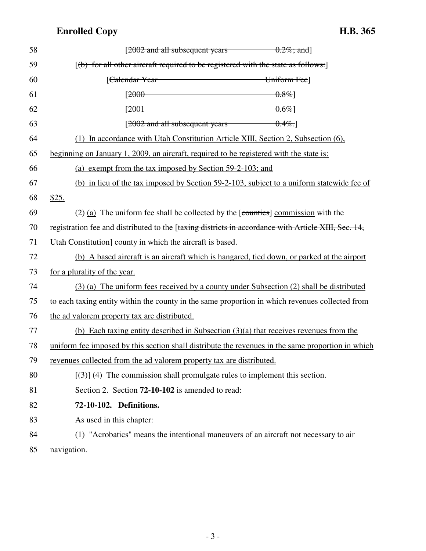| 58 | [ $2002$ and all subsequent years $0.2\%$ ; and]                                                    |
|----|-----------------------------------------------------------------------------------------------------|
| 59 | [(b) for all other aircraft required to be registered with the state as follows:]                   |
| 60 | [Calendar Year Uniform Fee]                                                                         |
| 61 | $[2000 \t\t 0.8\%]$                                                                                 |
| 62 | $[2001$ $0.6\%]$                                                                                    |
| 63 | $[2002$ and all subsequent years $0.4\%$ .                                                          |
| 64 | (1) In accordance with Utah Constitution Article XIII, Section 2, Subsection (6),                   |
| 65 | beginning on January 1, 2009, an aircraft, required to be registered with the state is:             |
| 66 | (a) exempt from the tax imposed by Section 59-2-103; and                                            |
| 67 | (b) in lieu of the tax imposed by Section 59-2-103, subject to a uniform statewide fee of           |
| 68 | \$25.                                                                                               |
| 69 | $(2)$ (a) The uniform fee shall be collected by the [counties] commission with the                  |
| 70 | registration fee and distributed to the [taxing districts in accordance with Article XIII, Sec. 14, |
| 71 | Utah Constitution   county in which the aircraft is based.                                          |
| 72 | (b) A based aircraft is an aircraft which is hangared, tied down, or parked at the airport          |
| 73 | for a plurality of the year.                                                                        |
| 74 | (3) (a) The uniform fees received by a county under Subsection (2) shall be distributed             |
| 75 | to each taxing entity within the county in the same proportion in which revenues collected from     |
| 76 | the ad valorem property tax are distributed.                                                        |
| 77 | (b) Each taxing entity described in Subsection $(3)(a)$ that receives revenues from the             |
| 78 | uniform fee imposed by this section shall distribute the revenues in the same proportion in which   |
| 79 | revenues collected from the ad valorem property tax are distributed.                                |
| 80 | $[\left(\frac{1}{2}\right)]$ (4) The commission shall promulgate rules to implement this section.   |
| 81 | Section 2. Section <b>72-10-102</b> is amended to read:                                             |
| 82 | 72-10-102. Definitions.                                                                             |
| 83 | As used in this chapter:                                                                            |
| 84 | (1) "Acrobatics" means the intentional maneuvers of an aircraft not necessary to air                |
| 85 | navigation.                                                                                         |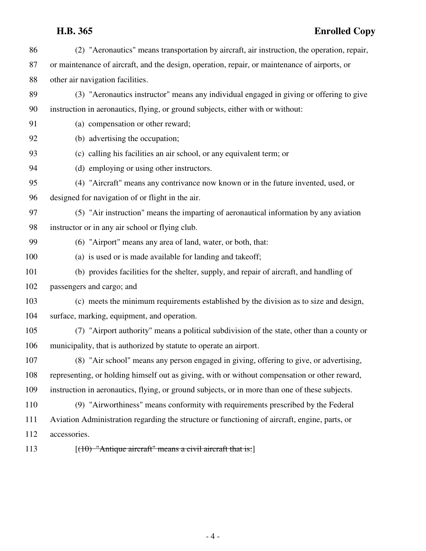### **H.B. 365 Enrolled Copy**

| 86  | (2) "Aeronautics" means transportation by aircraft, air instruction, the operation, repair,    |
|-----|------------------------------------------------------------------------------------------------|
| 87  | or maintenance of aircraft, and the design, operation, repair, or maintenance of airports, or  |
| 88  | other air navigation facilities.                                                               |
| 89  | (3) "Aeronautics instructor" means any individual engaged in giving or offering to give        |
| 90  | instruction in aeronautics, flying, or ground subjects, either with or without:                |
| 91  | (a) compensation or other reward;                                                              |
| 92  | (b) advertising the occupation;                                                                |
| 93  | (c) calling his facilities an air school, or any equivalent term; or                           |
| 94  | (d) employing or using other instructors.                                                      |
| 95  | (4) "Aircraft" means any contrivance now known or in the future invented, used, or             |
| 96  | designed for navigation of or flight in the air.                                               |
| 97  | (5) "Air instruction" means the imparting of aeronautical information by any aviation          |
| 98  | instructor or in any air school or flying club.                                                |
| 99  | (6) "Airport" means any area of land, water, or both, that:                                    |
| 100 | (a) is used or is made available for landing and takeoff;                                      |
| 101 | (b) provides facilities for the shelter, supply, and repair of aircraft, and handling of       |
| 102 | passengers and cargo; and                                                                      |
| 103 | (c) meets the minimum requirements established by the division as to size and design,          |
| 104 | surface, marking, equipment, and operation.                                                    |
| 105 | (7) "Airport authority" means a political subdivision of the state, other than a county or     |
| 106 | municipality, that is authorized by statute to operate an airport.                             |
| 107 | (8) "Air school" means any person engaged in giving, offering to give, or advertising,         |
| 108 | representing, or holding himself out as giving, with or without compensation or other reward,  |
| 109 | instruction in aeronautics, flying, or ground subjects, or in more than one of these subjects. |
| 110 | (9) "Airworthiness" means conformity with requirements prescribed by the Federal               |
| 111 | Aviation Administration regarding the structure or functioning of aircraft, engine, parts, or  |
| 112 | accessories.                                                                                   |
| 113 | $[(10)$ "Antique aircraft" means a civil aircraft that is:                                     |

- 4 -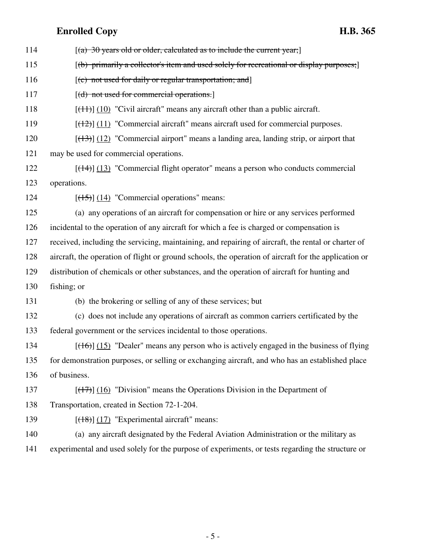- 114  $[(a)$  30 years old or older, calculated as to include the current year; 115 [(b) primarily a collector's item and used solely for recreational or display purposes; 116  $[(c)$  not used for daily or regular transportation; and 117 [(d) not used for commercial operations.] 118  $[(11)(10)$  "Civil aircraft" means any aircraft other than a public aircraft. 119  $[(12)(11)$  "Commercial aircraft" means aircraft used for commercial purposes. 120  $[(13)]$  (12) "Commercial airport" means a landing area, landing strip, or airport that 121 may be used for commercial operations. 122 [(14)] (13) "Commercial flight operator" means a person who conducts commercial 123 operations. 124  $[(15)] (14)$  "Commercial operations" means: 125 (a) any operations of an aircraft for compensation or hire or any services performed 126 incidental to the operation of any aircraft for which a fee is charged or compensation is 127 received, including the servicing, maintaining, and repairing of aircraft, the rental or charter of 128 aircraft, the operation of flight or ground schools, the operation of aircraft for the application or 129 distribution of chemicals or other substances, and the operation of aircraft for hunting and 130 fishing; or 131 (b) the brokering or selling of any of these services; but 132 (c) does not include any operations of aircraft as common carriers certificated by the 133 federal government or the services incidental to those operations. 134  $[(16)] (15)$  "Dealer" means any person who is actively engaged in the business of flying 135 for demonstration purposes, or selling or exchanging aircraft, and who has an established place 136 of business. 137  $[(17)]$  (16) "Division" means the Operations Division in the Department of 138 Transportation, created in Section 72-1-204. 139  $[(18)(17)$  "Experimental aircraft" means: 140 (a) any aircraft designated by the Federal Aviation Administration or the military as
	- 141 experimental and used solely for the purpose of experiments, or tests regarding the structure or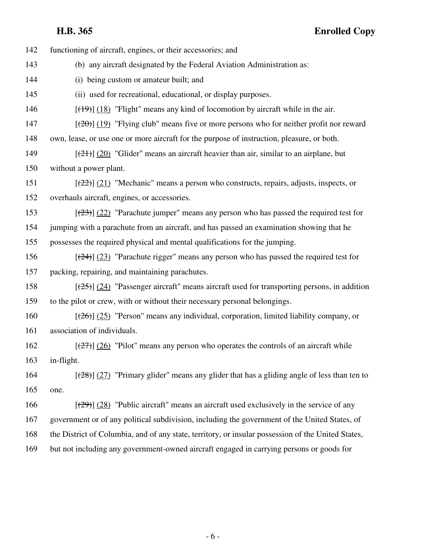142 functioning of aircraft, engines, or their accessories; and 143 (b) any aircraft designated by the Federal Aviation Administration as: 144 (i) being custom or amateur built; and 145 (ii) used for recreational, educational, or display purposes. 146  $[(19)(18)$  "Flight" means any kind of locomotion by aircraft while in the air.  $[20]$  (19) "Flying club" means five or more persons who for neither profit nor reward 148 own, lease, or use one or more aircraft for the purpose of instruction, pleasure, or both. 149  $[(21)]$  (20) "Glider" means an aircraft heavier than air, similar to an airplane, but 150 without a power plant. 151  $[(22)(21)$  "Mechanic" means a person who constructs, repairs, adjusts, inspects, or 152 overhauls aircraft, engines, or accessories. 153  $[(23)$  (22) "Parachute jumper" means any person who has passed the required test for 154 jumping with a parachute from an aircraft, and has passed an examination showing that he 155 possesses the required physical and mental qualifications for the jumping. 156  $\left[\frac{(24)}{(23)}\right]$  (23) "Parachute rigger" means any person who has passed the required test for 157 packing, repairing, and maintaining parachutes. 158  $[(25)] (24)$  "Passenger aircraft" means aircraft used for transporting persons, in addition 159 to the pilot or crew, with or without their necessary personal belongings. 160  $[(26)]$  (25) "Person" means any individual, corporation, limited liability company, or 161 association of individuals. 162  $\left[\frac{(27)}{(26)}\right]$  (26) "Pilot" means any person who operates the controls of an aircraft while 163 in-flight. 164  $\left[\frac{(28)}{(27)}\right]$  "Primary glider" means any glider that has a gliding angle of less than ten to 165 one. 166  $\left[\frac{(29)}{(28)}\right]$  (28) "Public aircraft" means an aircraft used exclusively in the service of any 167 government or of any political subdivision, including the government of the United States, of 168 the District of Columbia, and of any state, territory, or insular possession of the United States, 169 but not including any government-owned aircraft engaged in carrying persons or goods for

- 6 -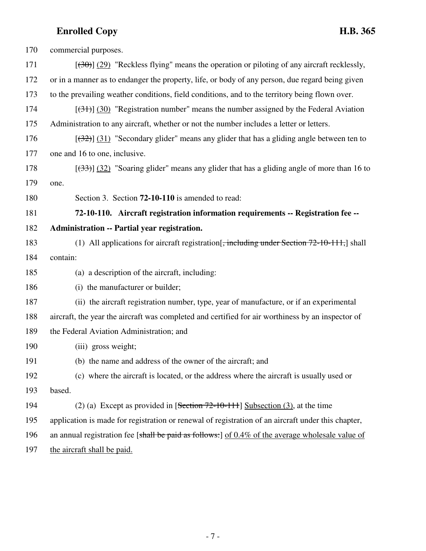| 170 | commercial purposes.                                                                                    |
|-----|---------------------------------------------------------------------------------------------------------|
| 171 | $[30\text{--} (29)$ "Reckless flying" means the operation or piloting of any aircraft recklessly,       |
| 172 | or in a manner as to endanger the property, life, or body of any person, due regard being given         |
| 173 | to the prevailing weather conditions, field conditions, and to the territory being flown over.          |
| 174 | $[34]$ (30) "Registration number" means the number assigned by the Federal Aviation                     |
| 175 | Administration to any aircraft, whether or not the number includes a letter or letters.                 |
| 176 | $[322]$ (31) "Secondary glider" means any glider that has a gliding angle between ten to                |
| 177 | one and 16 to one, inclusive.                                                                           |
| 178 | $[333]$ (32) "Soaring glider" means any glider that has a gliding angle of more than 16 to              |
| 179 | one.                                                                                                    |
| 180 | Section 3. Section <b>72-10-110</b> is amended to read:                                                 |
| 181 | 72-10-110. Aircraft registration information requirements -- Registration fee --                        |
| 182 | <b>Administration -- Partial year registration.</b>                                                     |
| 183 | (1) All applications for aircraft registration $\frac{1}{2}$ , including under Section 72-10-111, shall |
| 184 | contain:                                                                                                |
| 185 | (a) a description of the aircraft, including:                                                           |
| 186 | (i) the manufacturer or builder;                                                                        |
| 187 | (ii) the aircraft registration number, type, year of manufacture, or if an experimental                 |
| 188 | aircraft, the year the aircraft was completed and certified for air worthiness by an inspector of       |
| 189 | the Federal Aviation Administration; and                                                                |
| 190 | (iii) gross weight;                                                                                     |
| 191 | (b) the name and address of the owner of the aircraft; and                                              |
| 192 | (c) where the aircraft is located, or the address where the aircraft is usually used or                 |
| 193 | based.                                                                                                  |
| 194 | (2) (a) Except as provided in $[Section 72-10-111]$ Subsection (3), at the time                         |
| 195 | application is made for registration or renewal of registration of an aircraft under this chapter,      |
| 196 | an annual registration fee [shall be paid as follows:] of $0.4\%$ of the average wholesale value of     |
| 197 | the aircraft shall be paid.                                                                             |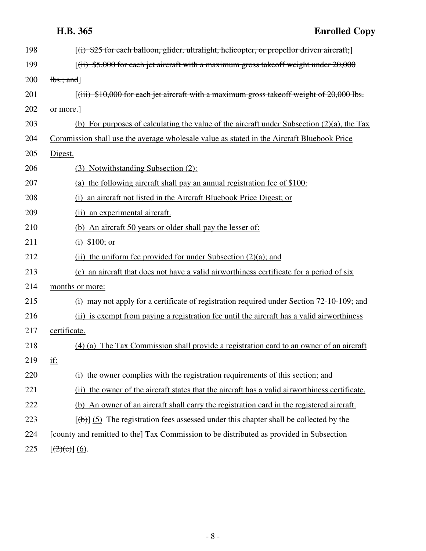# **H.B. 365 Enrolled Copy**

| 198 | $[(i)$ \$25 for each balloon, glider, ultralight, helicopter, or propellor driven aircraft;    |
|-----|------------------------------------------------------------------------------------------------|
| 199 | $[(iii)$ \$5,000 for each jet aircraft with a maximum gross takeoff weight under 20,000        |
| 200 | $\frac{1}{b}$ s:; and                                                                          |
| 201 | $[(iii)$ \$10,000 for each jet aircraft with a maximum gross takeoff weight of 20,000 lbs.     |
| 202 | or more.]                                                                                      |
| 203 | (b) For purposes of calculating the value of the aircraft under Subsection $(2)(a)$ , the Tax  |
| 204 | Commission shall use the average wholesale value as stated in the Aircraft Bluebook Price      |
| 205 | Digest.                                                                                        |
| 206 | (3) Notwithstanding Subsection (2):                                                            |
| 207 | (a) the following aircraft shall pay an annual registration fee of \$100:                      |
| 208 | (i) an aircraft not listed in the Aircraft Bluebook Price Digest; or                           |
| 209 | (ii) an experimental aircraft.                                                                 |
| 210 | (b) An aircraft 50 years or older shall pay the lesser of:                                     |
| 211 | (i) $$100; or$                                                                                 |
| 212 | (ii) the uniform fee provided for under Subsection $(2)(a)$ ; and                              |
| 213 | (c) an aircraft that does not have a valid airworthiness certificate for a period of six       |
| 214 | months or more:                                                                                |
| 215 | (i) may not apply for a certificate of registration required under Section 72-10-109; and      |
| 216 | (ii) is exempt from paying a registration fee until the aircraft has a valid airworthiness     |
| 217 | certificate.                                                                                   |
| 218 | (4) (a) The Tax Commission shall provide a registration card to an owner of an aircraft        |
| 219 | <u>if:</u>                                                                                     |
| 220 | (i) the owner complies with the registration requirements of this section; and                 |
| 221 | (ii) the owner of the aircraft states that the aircraft has a valid airworthiness certificate. |
| 222 | (b) An owner of an aircraft shall carry the registration card in the registered aircraft.      |
| 223 | $[\phi]$ (5) The registration fees assessed under this chapter shall be collected by the       |
| 224 | [county and remitted to the] Tax Commission to be distributed as provided in Subsection        |
| 225 | $[(2)(c)] (6)$ .                                                                               |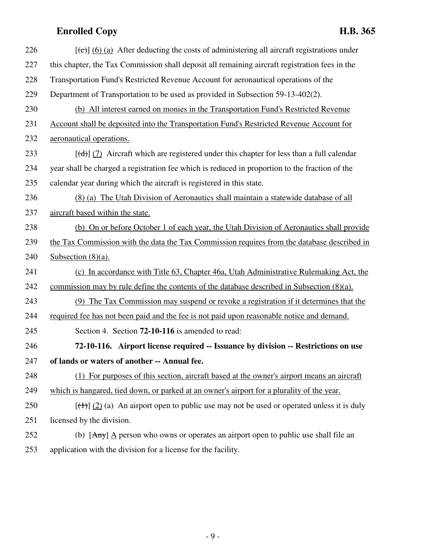| 226 | $[\text{e}(\text{e})]$ (6) (a) After deducting the costs of administering all aircraft registrations under |
|-----|------------------------------------------------------------------------------------------------------------|
| 227 | this chapter, the Tax Commission shall deposit all remaining aircraft registration fees in the             |
| 228 | Transportation Fund's Restricted Revenue Account for aeronautical operations of the                        |
| 229 | Department of Transportation to be used as provided in Subsection 59-13-402(2).                            |
| 230 | (b) All interest earned on monies in the Transportation Fund's Restricted Revenue                          |
| 231 | Account shall be deposited into the Transportation Fund's Restricted Revenue Account for                   |
| 232 | aeronautical operations.                                                                                   |
| 233 | $[\text{d} \cdot]$ (7) Aircraft which are registered under this chapter for less than a full calendar      |
| 234 | year shall be charged a registration fee which is reduced in proportion to the fraction of the             |
| 235 | calendar year during which the aircraft is registered in this state.                                       |
| 236 | (8) (a) The Utah Division of Aeronautics shall maintain a statewide database of all                        |
| 237 | aircraft based within the state.                                                                           |
| 238 | (b) On or before October 1 of each year, the Utah Division of Aeronautics shall provide                    |
| 239 | the Tax Commission with the data the Tax Commission requires from the database described in                |
| 240 | Subsection $(8)(a)$ .                                                                                      |
| 241 | (c) In accordance with Title 63, Chapter 46a, Utah Administrative Rulemaking Act, the                      |
| 242 | commission may by rule define the contents of the database described in Subsection $(8)(a)$ .              |
| 243 | (9) The Tax Commission may suspend or revoke a registration if it determines that the                      |
| 244 | required fee has not been paid and the fee is not paid upon reasonable notice and demand.                  |
| 245 | Section 4. Section <b>72-10-116</b> is amended to read:                                                    |
| 246 | 72-10-116. Airport license required -- Issuance by division -- Restrictions on use                         |
| 247 | of lands or waters of another -- Annual fee.                                                               |
| 248 | (1) For purposes of this section, aircraft based at the owner's airport means an aircraft                  |
| 249 | which is hangared, tied down, or parked at an owner's airport for a plurality of the year.                 |
| 250 | $[\frac{(+)}{(-)}]$ (2) (a) An airport open to public use may not be used or operated unless it is duly    |
| 251 | licensed by the division.                                                                                  |
| 252 | (b) $[Any]$ $\triangle$ person who owns or operates an airport open to public use shall file an            |
| 253 | application with the division for a license for the facility.                                              |